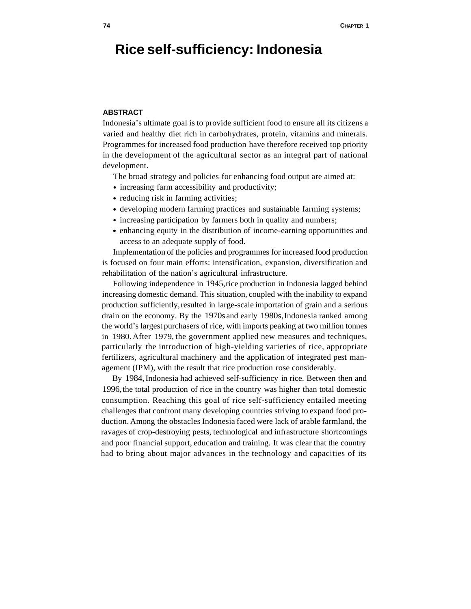# **Rice self-sufficiency: Indonesia**

# **ABSTRACT**

Indonesia's ultimate goal is to provide sufficient food to ensure all its citizens a varied and healthy diet rich in carbohydrates, protein, vitamins and minerals. Programmes for increased food production have therefore received top priority in the development of the agricultural sector as an integral part of national development.

The broad strategy and policies for enhancing food output are aimed at:

- increasing farm accessibility and productivity;
- reducing risk in farming activities;
- developing modern farming practices and sustainable farming systems;
- increasing participation by farmers both in quality and numbers;
- enhancing equity in the distribution of income-earning opportunities and access to an adequate supply of food.

Implementation of the policies and programmes for increased food production is focused on four main efforts: intensification, expansion, diversification and rehabilitation of the nation's agricultural infrastructure.

Following independence in 1945, rice production in Indonesia lagged behind increasing domestic demand. This situation, coupled with the inability to expand production sufficiently, resulted in large-scale importation of grain and a serious drain on the economy. By the 1970s and early 1980s, Indonesia ranked among the world's largest purchasers of rice, with imports peaking at two million tonnes in 1980. After 1979, the government applied new measures and techniques, particularly the introduction of high-yielding varieties of rice, appropriate fertilizers, agricultural machinery and the application of integrated pest management (IPM), with the result that rice production rose considerably.

By 1984, Indonesia had achieved self-sufficiency in rice. Between then and 1996, the total production of rice in the country was higher than total domestic consumption. Reaching this goal of rice self-sufficiency entailed meeting challenges that confront many developing countries striving to expand food production. Among the obstacles Indonesia faced were lack of arable farmland, the ravages of crop-destroying pests, technological and infrastructure shortcomings and poor financial support, education and training. It was clear that the country had to bring about major advances in the technology and capacities of its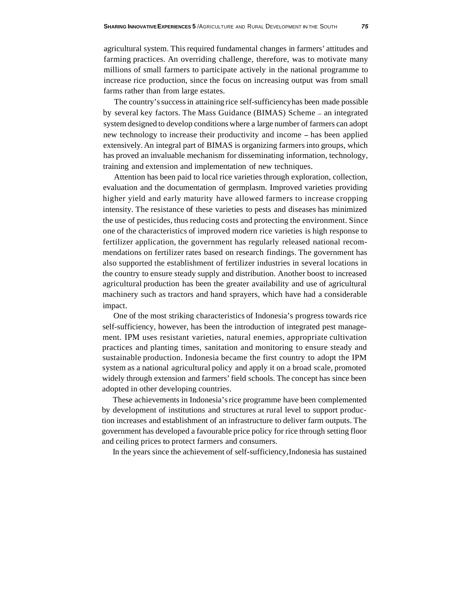agricultural system. This required fundamental changes in farmers' attitudes and farming practices. An overriding challenge, therefore, was to motivate many millions of small farmers to participate actively in the national programme to increase rice production, since the focus on increasing output was from small farms rather than from large estates.

The country's success in attaining rice self-sufficiency has been made possible by several key factors. The Mass Guidance (BIMAS) Scheme - an integrated system designed to develop conditions where a large number of farmers can adopt new technology to increase their productivity and income - has been applied extensively. An integral part of BIMAS is organizing farmers into groups, which has proved an invaluable mechanism for disseminating information, technology, training and extension and implementation of new techniques.

Attention has been paid to local rice varieties through exploration, collection, evaluation and the documentation of germplasm. Improved varieties providing higher yield and early maturity have allowed farmers to increase cropping intensity. The resistance of these varieties to pests and diseases has minimized the use of pesticides, thus reducing costs and protecting the environment. Since one of the characteristics of improved modern rice varieties is high response to fertilizer application, the government has regularly released national recommendations on fertilizer rates based on research findings. The government has also supported the establishment of fertilizer industries in several locations in the country to ensure steady supply and distribution. Another boost to increased agricultural production has been the greater availability and use of agricultural machinery such as tractors and hand sprayers, which have had a considerable impact.

One of the most striking characteristics of Indonesia's progress towards rice self-sufficiency, however, has been the introduction of integrated pest management. IPM uses resistant varieties, natural enemies, appropriate cultivation practices and planting times, sanitation and monitoring to ensure steady and sustainable production. Indonesia became the first country to adopt the IPM system as a national agricultural policy and apply it on a broad scale, promoted widely through extension and farmers' field schools. The concept has since been adopted in other developing countries.

These achievements in Indonesia's rice programme have been complemented by development of institutions and structures at rural level to support production increases and establishment of an infrastructure to deliver farm outputs. The government has developed a favourable price policy for rice through setting floor and ceiling prices to protect farmers and consumers.

In the years since the achievement of self-sufficiency, Indonesia has sustained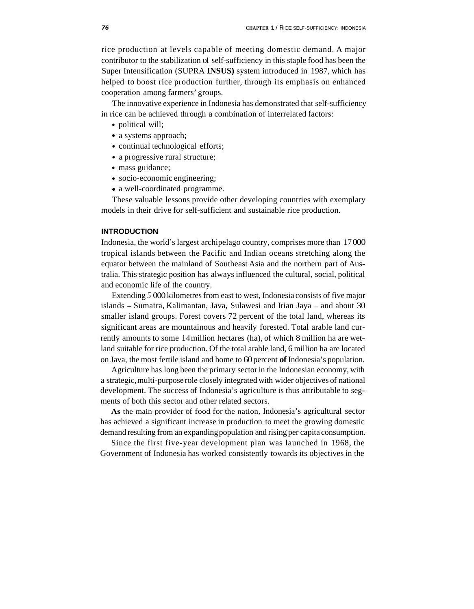rice production at levels capable of meeting domestic demand. A major contributor to the stabilization of self-sufficiency in this staple food has been the Super Intensification (SUPRA **INSUS)** system introduced in 1987, which has helped to boost rice production further, through its emphasis on enhanced cooperation among farmers' groups.

The innovative experience in Indonesia has demonstrated that self-sufficiency in rice can be achieved through a combination of interrelated factors:

- political will;
- a systems approach;
- continual technological efforts;
- a progressive rural structure;
- mass guidance;
- socio-economic engineering:
- a well-coordinated programme.

These valuable lessons provide other developing countries with exemplary models in their drive for self-sufficient and sustainable rice production.

#### **INTRODUCTION**

Indonesia, the world's largest archipelago country, comprises more than 17 000 tropical islands between the Pacific and Indian oceans stretching along the equator between the mainland of Southeast Asia and the northern part of Australia. This strategic position has always influenced the cultural, social, political and economic life of the country.

Extending *5* 000 kilometres from east to west, Indonesia consists of five major islands - Sumatra, Kalimantan, Java, Sulawesi and Irian Jaya - and about 30 smaller island groups. Forest covers 72 percent of the total land, whereas its significant areas are mountainous and heavily forested. Total arable land currently amounts to some 14 million hectares (ha), of which 8 million ha are wetland suitable for rice production. Of the total arable land, 6 million ha are located on Java, the most fertile island and home to 60 percent **of** Indonesia's population.

Agriculture has long been the primary sector in the Indonesian economy, with a strategic, multi-purpose role closely integrated with wider objectives of national development. The success of Indonesia's agriculture is thus attributable to segments of both this sector and other related sectors.

**As** the main provider of food for the nation, Indonesia's agricultural sector has achieved a significant increase in production to meet the growing domestic demand resulting from an expanding population and rising per capita consumption.

Since the first five-year development plan was launched in 1968, the Government of Indonesia has worked consistently towards its objectives in the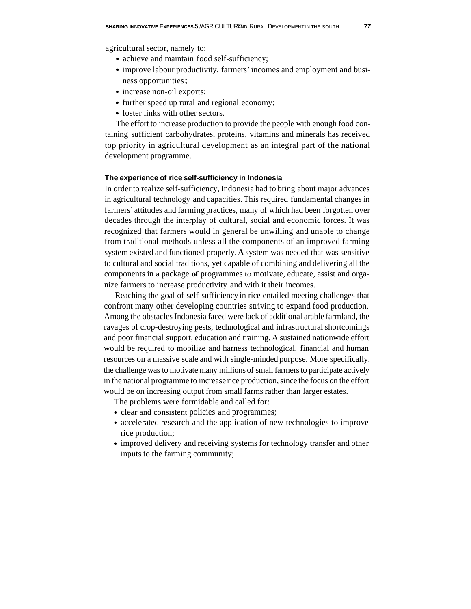- achieve and maintain food self-sufficiency;
- improve labour productivity, farmers' incomes and employment and business opportunities;
- increase non-oil exports;
- further speed up rural and regional economy;
- foster links with other sectors.

The effort to increase production to provide the people with enough food containing sufficient carbohydrates, proteins, vitamins and minerals has received top priority in agricultural development as an integral part of the national development programme.

# **The experience of rice self-sufficiency in Indonesia**

In order to realize self-sufficiency, Indonesia had to bring about major advances in agricultural technology and capacities. This required fundamental changes in farmers' attitudes and farming practices, many of which had been forgotten over decades through the interplay of cultural, social and economic forces. It was recognized that farmers would in general be unwilling and unable to change from traditional methods unless all the components of an improved farming system existed and functioned properly. **A** system was needed that was sensitive to cultural and social traditions, yet capable of combining and delivering all the components in a package **of** programmes to motivate, educate, assist and organize farmers to increase productivity and with it their incomes.

Reaching the goal of self-sufficiency in rice entailed meeting challenges that confront many other developing countries striving to expand food production. Among the obstacles Indonesia faced were lack of additional arable farmland, the ravages of crop-destroying pests, technological and infrastructural shortcomings and poor financial support, education and training. A sustained nationwide effort would be required to mobilize and harness technological, financial and human resources on a massive scale and with single-minded purpose. More specifically, the challenge was to motivate many millions of small farmers to participate actively in the national programme to increase rice production, since the focus on the effort would be on increasing output from small farms rather than larger estates.

The problems were formidable and called for:

- clear and consistent policies and programmes;
- accelerated research and the application of new technologies to improve rice production;
- improved delivery and receiving systems for technology transfer and other inputs to the farming community;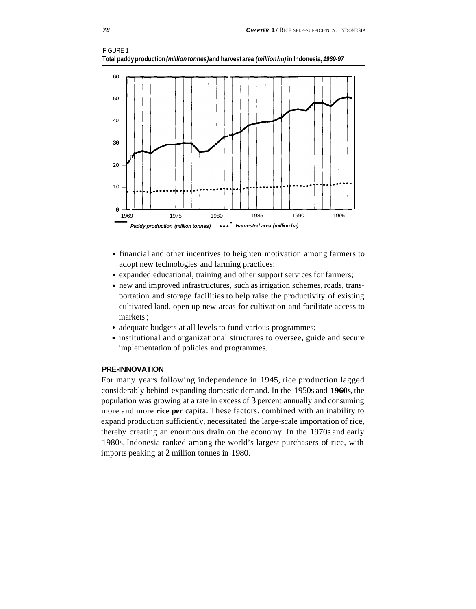



- financial and other incentives to heighten motivation among farmers to adopt new technologies and farming practices;
- expanded educational, training and other support services for farmers;
- new and improved infrastructures, such as irrigation schemes, roads, transportation and storage facilities to help raise the productivity of existing cultivated land, open up new areas for cultivation and facilitate access to markets ;
- adequate budgets at all levels to fund various programmes;
- institutional and organizational structures to oversee, guide and secure implementation of policies and programmes.

# **PRE-INNOVATION**

For many years following independence in 1945, rice production lagged considerably behind expanding domestic demand. In the 1950s and **1960s,** the population was growing at a rate in excess of 3 percent annually and consuming more and more **rice per** capita. These factors. combined with an inability to expand production sufficiently, necessitated the large-scale importation of rice, thereby creating an enormous drain on the economy. In the 1970s and early 1980s, Indonesia ranked among the world's largest purchasers of rice, with imports peaking at 2 million tonnes in 1980.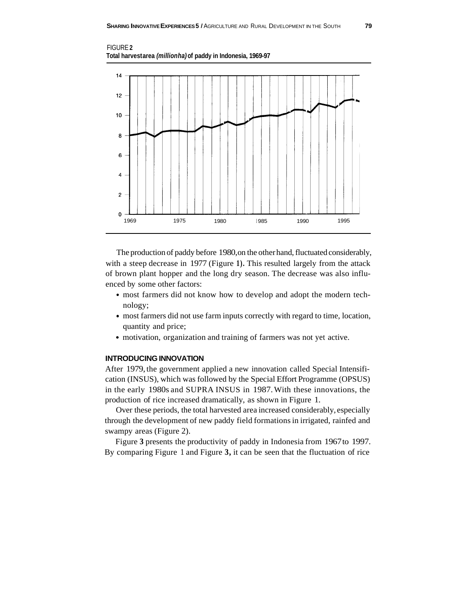



The production of paddy before 1980, on the other hand, fluctuated considerably, with a steep decrease in 1977 (Figure **1).** This resulted largely from the attack of brown plant hopper and the long dry season. The decrease was also influenced by some other factors:

- most farmers did not know how to develop and adopt the modern technology;
- most farmers did not use farm inputs correctly with regard to time, location, quantity and price;
- motivation, organization and training of farmers was not yet active.

## **INTRODUCING INNOVATION**

After 1979, the government applied a new innovation called Special Intensification (INSUS), which was followed by the Special Effort Programme (OPSUS) in the early 1980s and SUPRA INSUS in 1987. With these innovations, the production of rice increased dramatically, as shown in Figure 1.

Over these periods, the total harvested area increased considerably, especially through the development of new paddy field formations in irrigated, rainfed and swampy areas (Figure 2).

Figure **3** presents the productivity of paddy in Indonesia from 1967 to 1997. By comparing Figure 1 and Figure **3,** it can be seen that the fluctuation of rice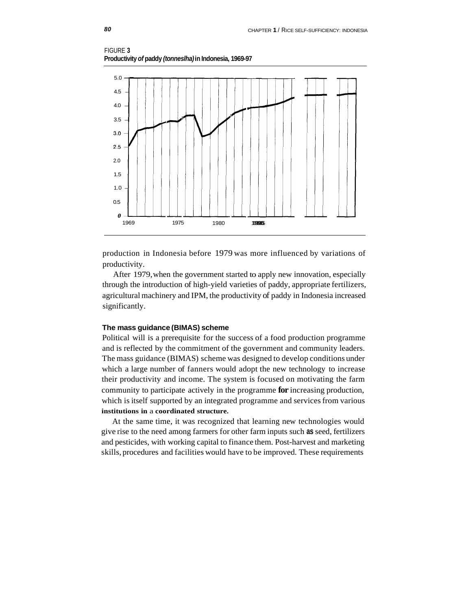



production in Indonesia before 1979 was more influenced by variations of productivity.

After 1979, when the government started to apply new innovation, especially through the introduction of high-yield varieties of paddy, appropriate fertilizers, agricultural machinery and IPM, the productivity of paddy in Indonesia increased significantly.

# **The mass guidance (BIMAS) scheme**

Political will is a prerequisite for the success of a food production programme and is reflected by the commitment of the government and community leaders. The mass guidance (BIMAS) scheme was designed to develop conditions under which a large number of fanners would adopt the new technology to increase their productivity and income. The system is focused on motivating the farm community to participate actively in the programme **for** increasing production, which is itself supported by an integrated programme and services from various **institutions in** a **coordinated structure.** 

At the same time, it was recognized that learning new technologies would give rise to the need among farmers for other farm inputs such **as** seed, fertilizers and pesticides, with working capital to finance them. Post-harvest and marketing skills, procedures and facilities would have to be improved. These requirements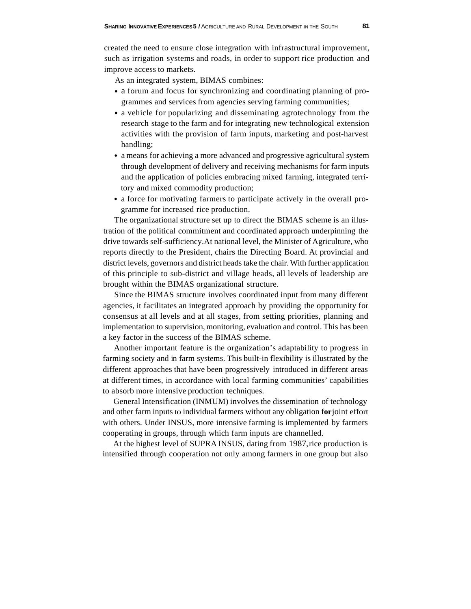created the need to ensure close integration with infrastructural improvement, such as irrigation systems and roads, in order to support rice production and improve access to markets.

As an integrated system, BIMAS combines:

- a forum and focus for synchronizing and coordinating planning of programmes and services from agencies serving farming communities;
- a vehicle for popularizing and disseminating agrotechnology from the research stage to the farm and for integrating new technological extension activities with the provision of farm inputs, marketing and post-harvest handling;
- a means for achieving a more advanced and progressive agricultural system through development of delivery and receiving mechanisms for farm inputs and the application of policies embracing mixed farming, integrated territory and mixed commodity production;
- a force for motivating farmers to participate actively in the overall programme for increased rice production.

The organizational structure set up to direct the BIMAS scheme is an illustration of the political commitment and coordinated approach underpinning the drive towards self-sufficiency. At national level, the Minister of Agriculture, who reports directly to the President, chairs the Directing Board. At provincial and district levels, governors and district heads take the chair. With further application of this principle to sub-district and village heads, all levels of leadership are brought within the BIMAS organizational structure.

Since the BIMAS structure involves coordinated input from many different agencies, it facilitates an integrated approach by providing the opportunity for consensus at all levels and at all stages, from setting priorities, planning and implementation to supervision, monitoring, evaluation and control. This has been a key factor in the success of the BIMAS scheme.

Another important feature is the organization's adaptability to progress in farming society and in farm systems. This built-in flexibility is illustrated by the different approaches that have been progressively introduced in different areas at different times, in accordance with local farming communities' capabilities to absorb more intensive production techniques.

General Intensification (INMUM) involves the dissemination of technology and other farm inputs to individual farmers without any obligation **for** joint effort with others. Under INSUS, more intensive farming is implemented by farmers cooperating in groups, through which farm inputs are channelled.

At the highest level of SUPRA INSUS, dating from 1987, rice production is intensified through cooperation not only among farmers in one group but also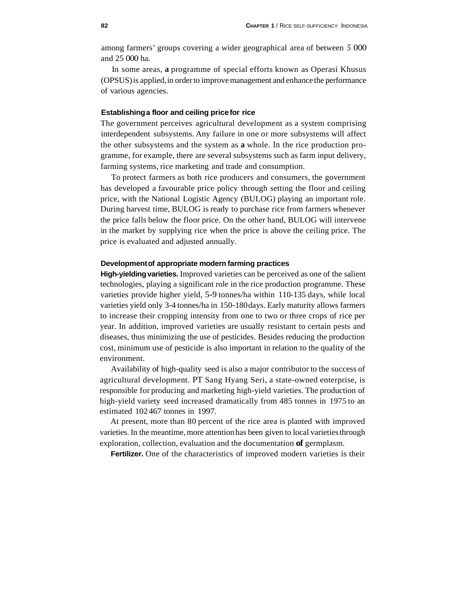among farmers' groups covering a wider geographical area of between *5* 000 and 25 000 ha.

In some areas, **a** programme of special efforts known as Operasi Khusus (OPSUS) is applied, in order to improve management and enhance the performance of various agencies.

#### **Establishing a floor and ceiling price for rice**

The government perceives agricultural development as a system comprising interdependent subsystems. Any failure in one or more subsystems will affect the other subsystems and the system as **a** whole. In the rice production programme, for example, there are several subsystems such as farm input delivery, farming systems, rice marketing and trade and consumption.

To protect farmers as both rice producers and consumers, the government has developed a favourable price policy through setting the floor and ceiling price, with the National Logistic Agency (BULOG) playing an important role. During harvest time, BULOG is ready to purchase rice from farmers whenever the price falls below the floor price. On the other hand, BULOG will intervene in the market by supplying rice when the price is above the ceiling price. The price is evaluated and adjusted annually.

## **Development of appropriate modern farming practices**

**High-yielding varieties.** Improved varieties can be perceived as one of the salient technologies, playing a significant role in the rice production programme. These varieties provide higher yield, 5-9 tonnes/ha within 110-135 days, while local varieties yield only 3-4 tonnes/ha in 150-180 days. Early maturity allows farmers to increase their cropping intensity from one to two or three crops of rice per year. In addition, improved varieties are usually resistant to certain pests and diseases, thus minimizing the use of pesticides. Besides reducing the production cost, minimum use of pesticide is also important in relation to the quality of the environment.

Availability of high-quality seed is also a major contributor to the success of agricultural development. PT Sang Hyang Seri, a state-owned enterprise, is responsible for producing and marketing high-yield varieties. The production of high-yield variety seed increased dramatically from 485 tonnes in 1975 to an estimated 102 467 tonnes in 1997.

At present, more than 80 percent of the rice area is planted with improved varieties. In the meantime, more attention has been given to local varieties through exploration, collection, evaluation and the documentation **of** germplasm.

**Fertilizer.** One of the characteristics of improved modern varieties is their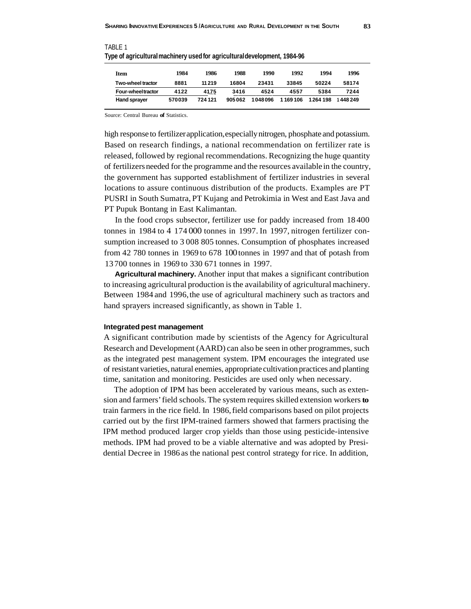| Item                | 1984   | 1986    | 1988   | 1990    | 1992    | 1994     | 1996    |
|---------------------|--------|---------|--------|---------|---------|----------|---------|
| Two-wheel tractor   | 8881   | 11 21 9 | 16804  | 23431   | 33845   | 50224    | 58174   |
| Four-wheeltractor   | 4122   | 4175    | 3416   | 4524    | 4557    | 5384     | 7244    |
| <b>Hand sprayer</b> | 570039 | 724 121 | 905062 | 1048096 | 1169106 | 1264 198 | 1448249 |

TABLE 1 **Type of agricultural machinery used for agricultural development, 1984-96** 

Source: Central Bureau **of** Statistics.

high response to fertilizer application, especially nitrogen, phosphate and potassium. Based on research findings, a national recommendation on fertilizer rate is released, followed by regional recommendations. Recognizing the huge quantity of fertilizers needed for the programme and the resources available in the country, the government has supported establishment of fertilizer industries in several locations to assure continuous distribution of the products. Examples are PT PUSRI in South Sumatra, PT Kujang and Petrokimia in West and East Java and PT Pupuk Bontang in East Kalimantan.

In the food crops subsector, fertilizer use for paddy increased from 18 400 tonnes in 1984 to 4 174 000 tonnes in 1997. In 1997, nitrogen fertilizer consumption increased to 3 008 805 tonnes. Consumption of phosphates increased from 42 780 tonnes in 1969 to 678 100 tonnes in 1997 and that of potash from 13 700 tonnes in 1969 to 330 671 tonnes in 1997.

**Agricultural machinery.** Another input that makes a significant contribution to increasing agricultural production is the availability of agricultural machinery. Between 1984 and 1996, the use of agricultural machinery such as tractors and hand sprayers increased significantly, as shown in Table 1.

#### **Integrated pest management**

A significant contribution made by scientists of the Agency for Agricultural Research and Development (AARD) can also be seen in other programmes, such as the integrated pest management system. IPM encourages the integrated use of resistant varieties, natural enemies, appropriate cultivation practices and planting time, sanitation and monitoring. Pesticides are used only when necessary.

The adoption of IPM has been accelerated by various means, such as extension and farmers' field schools. The system requires skilled extension workers **to**  train farmers in the rice field. In 1986, field comparisons based on pilot projects carried out by the first IPM-trained farmers showed that farmers practising the IPM method produced larger crop yields than those using pesticide-intensive methods. IPM had proved to be a viable alternative and was adopted by Presidential Decree in 1986 as the national pest control strategy for rice. In addition,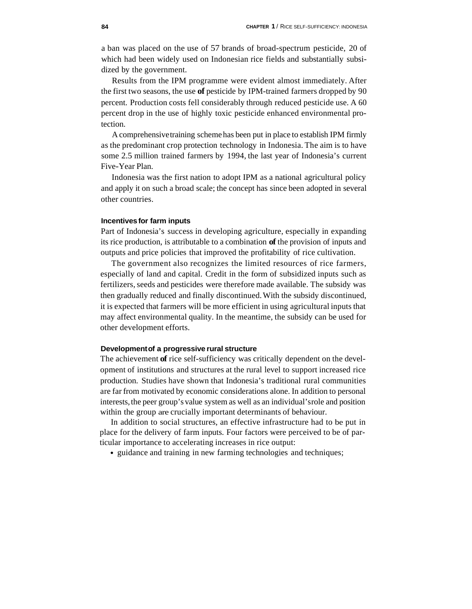a ban was placed on the use of 57 brands of broad-spectrum pesticide, 20 of which had been widely used on Indonesian rice fields and substantially subsidized by the government.

Results from the IPM programme were evident almost immediately. After the first two seasons, the use **of** pesticide by IPM-trained farmers dropped by 90 percent. Production costs fell considerably through reduced pesticide use. A 60 percent drop in the use of highly toxic pesticide enhanced environmental protection.

A comprehensive training scheme has been put in place to establish IPM firmly as the predominant crop protection technology in Indonesia. The aim is to have some 2.5 million trained farmers by 1994, the last year of Indonesia's current Five-Year Plan.

Indonesia was the first nation to adopt IPM as a national agricultural policy and apply it on such a broad scale; the concept has since been adopted in several other countries.

# **Incentives for farm inputs**

Part of Indonesia's success in developing agriculture, especially in expanding its rice production, is attributable to a combination **of** the provision of inputs and outputs and price policies that improved the profitability of rice cultivation.

The government also recognizes the limited resources of rice farmers, especially of land and capital. Credit in the form of subsidized inputs such as fertilizers, seeds and pesticides were therefore made available. The subsidy was then gradually reduced and finally discontinued. With the subsidy discontinued, it is expected that farmers will be more efficient in using agricultural inputs that may affect environmental quality. In the meantime, the subsidy can be used for other development efforts.

### **Development of a progressive rural structure**

The achievement **of** rice self-sufficiency was critically dependent on the development of institutions and structures at the rural level to support increased rice production. Studies have shown that Indonesia's traditional rural communities are far from motivated by economic considerations alone. In addition to personal interests, the peer group's value system as well as an individual's role and position within the group are crucially important determinants of behaviour.

In addition to social structures, an effective infrastructure had to be put in place for the delivery of farm inputs. Four factors were perceived to be of particular importance to accelerating increases in rice output:

• guidance and training in new farming technologies and techniques;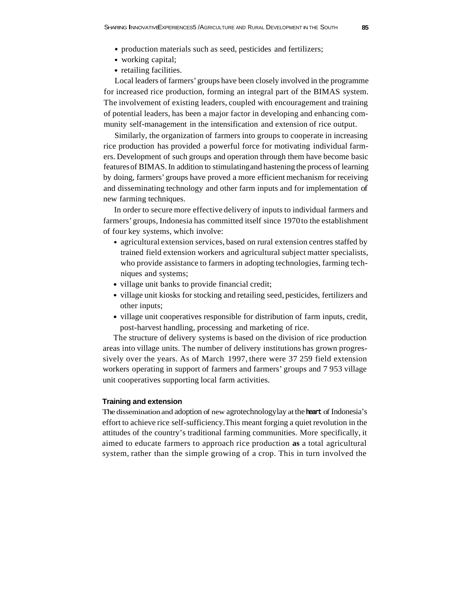- production materials such as seed, pesticides and fertilizers;
- working capital;
- retailing facilities.

Local leaders of farmers' groups have been closely involved in the programme for increased rice production, forming an integral part of the BIMAS system. The involvement of existing leaders, coupled with encouragement and training of potential leaders, has been a major factor in developing and enhancing community self-management in the intensification and extension of rice output.

Similarly, the organization of farmers into groups to cooperate in increasing rice production has provided a powerful force for motivating individual farmers. Development of such groups and operation through them have become basic features of BIMAS. In addition to stimulating and hastening the process of learning by doing, farmers' groups have proved a more efficient mechanism for receiving and disseminating technology and other farm inputs and for implementation of new farming techniques.

In order to secure more effective delivery of inputs to individual farmers and farmers' groups, Indonesia has committed itself since 1970 to the establishment of four key systems, which involve:

- agricultural extension services, based on rural extension centres staffed by trained field extension workers and agricultural subject matter specialists, who provide assistance to farmers in adopting technologies, farming techniques and systems;
- village unit banks to provide financial credit;
- village unit kiosks for stocking and retailing seed, pesticides, fertilizers and other inputs;
- village unit cooperatives responsible for distribution of farm inputs, credit, post-harvest handling, processing and marketing of rice.

The structure of delivery systems is based on the division of rice production areas into village units. The number of delivery institutions has grown progressively over the years. As of March 1997, there were 37 259 field extension workers operating in support of farmers and farmers' groups and 7 953 village unit cooperatives supporting local farm activities.

#### **Training and extension**

The dissemination and adoption of new agrotechnology lay at the **heart** of Indonesia's effort to achieve rice self-sufficiency. This meant forging a quiet revolution in the attitudes of the country's traditional farming communities. More specifically, it aimed to educate farmers to approach rice production **as** a total agricultural system, rather than the simple growing of a crop. This in turn involved the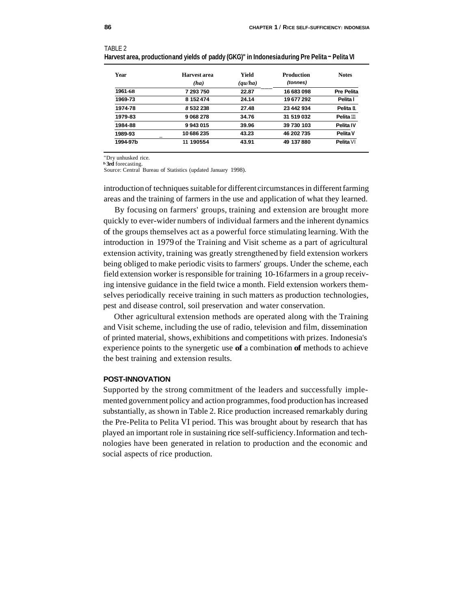| Year     | Harvest area<br>(ha) | Yield<br>$\left( \frac{qu}{ha} \right)$ | Production<br>(tonnes) | <b>Notes</b>      |
|----------|----------------------|-----------------------------------------|------------------------|-------------------|
| 1961-68  | 7 293 750            | 22.87                                   | 16 683 098             | <b>Pre Pelita</b> |
| 1969-73  | 8 152 474            | 24.14                                   | 19677292               | Pelita I          |
| 1974-78  | 8532238              | 27.48                                   | 23 442 934             | Pelita II         |
| 1979-83  | 9068278              | 34.76                                   | 31 519 032             | Pelita 111        |
| 1984-88  | 9943015              | 39.96                                   | 39 730 103             | Pelita IV         |
| 1989-93  | 10686235             | 43.23                                   | 46 202 735             | Pelita V          |
| 1994-97b | 11 190554            | 43.91                                   | 49 137 880             | Pelita VI         |

| TABLE 2 |                                                                                              |  |  |
|---------|----------------------------------------------------------------------------------------------|--|--|
|         | Harvest area, productionand yields of paddy (GKG)" in Indonesiaduring Pre Pelita - Pelita VI |  |  |

"Dry unhusked rice. **3rd** forecasting.

Source: Central Bureau of Statistics (updated January 1998).

introduction of techniques suitable for different circumstances in different farming areas and the training of farmers in the use and application of what they learned.

By focusing on farmers' groups, training and extension are brought more quickly to ever-wider numbers of individual farmers and the inherent dynamics of the groups themselves act as a powerful force stimulating learning. With the introduction in 1979 of the Training and Visit scheme as a part of agricultural extension activity, training was greatly strengthened by field extension workers being obliged to make periodic visits to farmers' groups. Under the scheme, each field extension worker is responsible for training 10-16 farmers in a group receiving intensive guidance in the field twice a month. Field extension workers themselves periodically receive training in such matters as production technologies, pest and disease control, soil preservation and water conservation.

Other agricultural extension methods are operated along with the Training and Visit scheme, including the use of radio, television and film, dissemination of printed material, shows, exhibitions and competitions with prizes. Indonesia's experience points to the synergetic use **of** a combination **of** methods to achieve the best training and extension results.

#### **POST-INNOVATION**

Supported by the strong commitment of the leaders and successfully implemented government policy and action programmes, food production has increased substantially, as shown in Table 2. Rice production increased remarkably during the Pre-Pelita to Pelita VI period. This was brought about by research that has played an important role in sustaining rice self-sufficiency. Information and technologies have been generated in relation to production and the economic and social aspects of rice production.